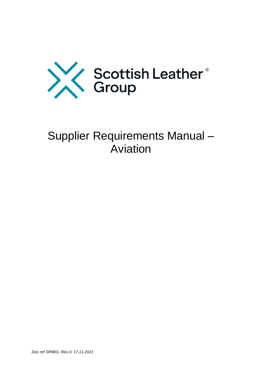

# Supplier Requirements Manual – Aviation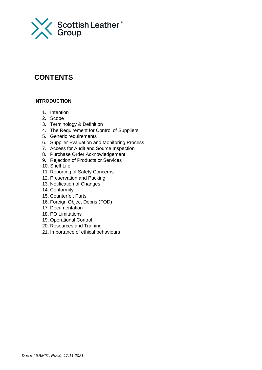

# **CONTENTS**

# **INTRODUCTION**

- 1. Intention
- 2. Scope
- 3. Terminology & Definition
- 4. The Requirement for Control of Suppliers
- 5. Generic requirements
- 6. Supplier Evaluation and Monitoring Process
- 7. Access for Audit and Source Inspection
- 8. Purchase Order Acknowledgement
- 9. Rejection of Products or Services
- 10. Shelf Life
- 11. Reporting of Safety Concerns
- 12. Preservation and Packing
- 13. Notification of Changes
- 14. Conformity
- 15. Counterfeit Parts
- 16. Foreign Object Debris (FOD)
- 17. Documentation
- 18. PO Limitations
- 19. Operational Control
- 20. Resources and Training
- 21. Importance of ethical behaviours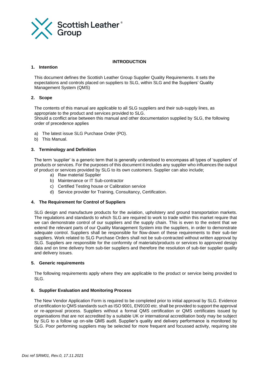

#### **INTRODUCTION**

#### **1. Intention**

This document defines the Scottish Leather Group Supplier Quality Requirements. It sets the expectations and controls placed on suppliers to SLG, within SLG and the Suppliers' Quality Management System (QMS)

#### **2. Scope**

The contents of this manual are applicable to all SLG suppliers and their sub-supply lines, as appropriate to the product and services provided to SLG.

Should a conflict arise between this manual and other documentation supplied by SLG, the following order of precedence applies

- a) The latest issue SLG Purchase Order (PO).
- b) This Manual.

#### **3. Terminology and Definition**

The term 'supplier' is a generic term that is generally understood to encompass all types of 'suppliers' of products or services. For the purposes of this document it includes any supplier who influences the output of product or services provided by SLG to its own customers. Supplier can also include;

- a) Raw material Supplier
- b) Maintenance or IT Sub-contractor
- c) Certified Testing house or Calibration service
- d) Service provider for Training, Consultancy, Certification.

#### **4. The Requirement for Control of Suppliers**

SLG design and manufacture products for the aviation, upholstery and ground transportation markets. The regulations and standards to which SLG are required to work to trade within this market require that we can demonstrate control of our suppliers and the supply chain. This is even to the extent that we extend the relevant parts of our Quality Management System into the suppliers, in order to demonstrate adequate control. Suppliers shall be responsible for flow-down of these requirements to their sub-tier suppliers. Work related to SLG Purchase Orders shall not be sub-contracted without written approval by SLG. Suppliers are responsible for the conformity of materials/products or services to approved design data and on time delivery from sub-tier suppliers and therefore the resolution of sub-tier supplier quality and delivery issues.

#### **5. Generic requirements**

The following requirements apply where they are applicable to the product or service being provided to SLG.

# **6. Supplier Evaluation and Monitoring Process**

The New Vendor Application Form is required to be completed prior to initial approval by SLG. Evidence of certification to QMS standards such as ISO 9001, EN9100 etc. shall be provided to support the approval or re-approval process. Suppliers without a formal QMS certification or QMS certificates issued by organisations that are not accredited by a suitable UK or international accreditation body may be subject by SLG to a follow up on-site QMS audit. Supplier's quality and delivery performance is monitored by SLG. Poor performing suppliers may be selected for more frequent and focussed activity, requiring site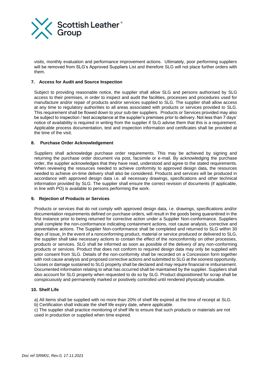

visits, monthly evaluation and performance improvement actions. Ultimately, poor performing suppliers will be removed from SLG's Approved Suppliers List and therefore SLG will not place further orders with them.

# **7. Access for Audit and Source Inspection**

Subject to providing reasonable notice, the supplier shall allow SLG and persons authorised by SLG access to their premises, in order to inspect and audit the facilities, processes and procedures used for manufacture and/or repair of products and/or services supplied to SLG. The supplier shall allow access at any time to regulatory authorities to all areas associated with products or services provided to SLG. This requirement shall be flowed down to your sub-tier suppliers. Products or Services provided may also be subject to inspection / test acceptance at the supplier's premises prior to delivery. Not less than 7 days' notice of availability is required in writing from the supplier if SLG advise them that this is a requirement. Applicable process documentation, test and inspection information and certificates shall be provided at the time of the visit.

#### **8. Purchase Order Acknowledgement**

Suppliers shall acknowledge purchase order requirements. This may be achieved by signing and returning the purchase order document via post, facsimile or e-mail. By acknowledging the purchase order, the supplier acknowledges that they have read, understood and agree to the stated requirements. When reviewing the resources needed to achieve conformity to approved design data, the resources needed to achieve on-time delivery shall also be considered. Products and services will be produced in accordance with approved design data i.e. all necessary drawings, specifications and other technical information provided by SLG. The supplier shall ensure the correct revision of documents (if applicable, in line with PO) is available to persons performing the work.

#### **9. Rejection of Products or Services**

Products or services that do not comply with approved design data, i.e. drawings, specifications and/or documentation requirements defined on purchase orders, will result in the goods being quarantined in the first instance prior to being returned for corrective action under a Supplier Non-conformance. Suppliers shall complete the non-conformance indicating containment actions, root cause analysis, corrective and preventative actions. The Supplier Non-conformance shall be completed and returned to SLG within 30 days of issue. In the event of a nonconforming product, material or service produced or delivered to SLG, the supplier shall take necessary actions to contain the effect of the nonconformity on other processes, products or services. SLG shall be informed as soon as possible of the delivery of any non-conforming products or services. Product that does not conform to required design data may only be supplied with prior consent from SLG. Details of the non-conformity shall be recorded on a Concession form together with root cause analysis and proposed corrective actions and submitted to SLG at the soonest opportunity. Losses or damage sustained to SLG property shall be declared and may require financial re imbursement. Documented information relating to what has occurred shall be maintained by the supplier. Suppliers shall also account for SLG property when requested to do so by SLG. Product dispositioned for scrap shall be conspicuously and permanently marked or positively controlled until rendered physically unusable.

#### **10. Shelf Life**

a) All items shall be supplied with no more than 20% of shelf life expired at the time of receipt at SLG.

b) Certification shall indicate the shelf life expiry date, where applicable.

c) The supplier shall practice monitoring of shelf life to ensure that such products or materials are not used in production or supplied when time expired.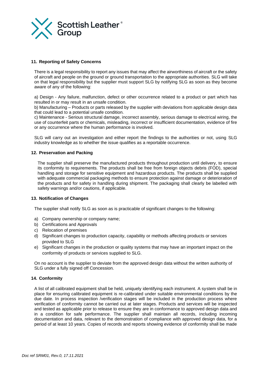

# **11. Reporting of Safety Concerns**

There is a legal responsibility to report any issues that may affect the airworthiness of aircraft or the safety of aircraft and people on the ground or ground transportation to the appropriate authorities. SLG will take on that legal responsibility but the supplier must support SLG by notifying SLG as soon as they become aware of any of the following:

a) Design - Any failure, malfunction, defect or other occurrence related to a product or part which has resulted in or may result in an unsafe condition.

b) Manufacturing – Products or parts released by the supplier with deviations from applicable design data that could lead to a potential unsafe condition.

c) Maintenance - Serious structural damage, incorrect assembly, serious damage to electrical wiring, the use of counterfeit parts or chemicals, misleading, incorrect or insufficient documentation, evidence of fire or any occurrence where the human performance is involved.

SLG will carry out an investigation and either report the findings to the authorities or not, using SLG industry knowledge as to whether the issue qualifies as a reportable occurrence.

#### **12. Preservation and Packing**

The supplier shall preserve the manufactured products throughout production until delivery, to ensure its conformity to requirements. The products shall be free from foreign objects debris (FOD), special handling and storage for sensitive equipment and hazardous products. The products shall be supplied with adequate commercial packaging methods to ensure protection against damage or deterioration of the products and for safety in handling during shipment. The packaging shall clearly be labelled with safety warnings and/or cautions, if applicable.

#### **13. Notification of Changes**

The supplier shall notify SLG as soon as is practicable of significant changes to the following:

- a) Company ownership or company name;
- b) Certifications and Approvals
- c) Relocation of premises
- d) Significant changes to production capacity, capability or methods affecting products or services provided to SLG
- e) Significant changes in the production or quality systems that may have an important impact on the conformity of products or services supplied to SLG.

On no account is the supplier to deviate from the approved design data without the written authority of SLG under a fully signed off Concession.

#### **14. Conformity**

A list of all calibrated equipment shall be held, uniquely identifying each instrument. A system shall be in place for ensuring calibrated equipment is re-calibrated under suitable environmental conditions by the due date. In process inspection /verification stages will be included in the production process where verification of conformity cannot be carried out at later stages. Products and services will be inspected and tested as applicable prior to release to ensure they are in conformance to approved design data and in a condition for safe performance. The supplier shall maintain all records, including incoming documentation and data, relevant to the demonstration of compliance with approved design data, for a period of at least 10 years. Copies of records and reports showing evidence of conformity shall be made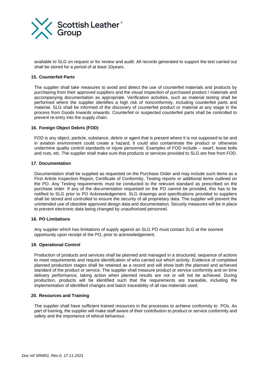

available to SLG on request or for review and audit. All records generated to support the test carried out shall be stored for a period of at least 10years.

#### **15. Counterfeit Parts**

The supplier shall take measures to avoid and detect the use of counterfeit materials and products by purchasing from their approved suppliers and the visual inspection of purchased product / materials and accompanying documentation as appropriate. Verification activities, such as material testing shall be performed where the supplier identifies a high risk of nonconformity, including counterfeit parts and material. SLG shall be informed of the discovery of counterfeit product or material at any stage in the process from Goods Inwards onwards. Counterfeit or suspected counterfeit parts shall be controlled to prevent re-entry into the supply chain.

#### **16. Foreign Object Debris (FOD)**

FOD is any object, particle, substance, debris or agent that is present where it is not supposed to be and in aviation environment could create a hazard, it could also contaminate the product or otherwise undermine quality control standards or injure personnel. Examples of FOD include – swarf, loose bolts and nuts, etc. The supplier shall make sure that products or services provided to SLG are free from FOD.

#### **17. Documentation**

Documentation shall be supplied as requested on the Purchase Order and may include such items as a First Article Inspection Report, Certificate of Conformity, Testing reports or additional items outlined on the PO. Any Testing requirements must be conducted to the relevant standard as prescribed on the purchase order. If any of the documentation requested on the PO cannot be provided, this has to be notified to SLG prior to PO Acknowledgement. SLG drawings and specifications provided to suppliers shall be stored and controlled to ensure the security of all proprietary data. The supplier will prevent the unintended use of obsolete approved design data and documentation. Security measures will be in place to prevent electronic data being changed by unauthorised personnel.

# **18. PO Limitations**

Any supplier which has limitations of supply against an SLG PO must contact SLG at the soonest opportunity upon receipt of the PO, prior to acknowledgement.

#### **19. Operational Control**

Production of products and services shall be planned and managed in a structured, sequence of actions to meet requirements and require identification of who carried out which activity. Evidence of completed planned production stages shall be retained as a record and will show both the planned and achieved standard of the product or service. The supplier shall measure product or service conformity and on time delivery performance, taking action when planned results are not or will not be achieved. During production, products will be identified such that the requirements are traceable, including the implementation of identified changes and batch traceability of all raw materials used.

# **20. Resources and Training**

The supplier shall have sufficient trained resources in the processes to achieve conformity to POs. As part of training, the supplier will make staff aware of their contribution to product or service conformity and safety and the importance of ethical behaviour.